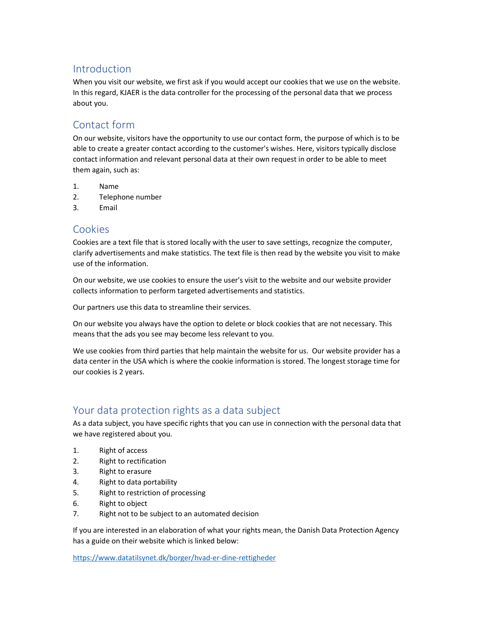### Introduction

When you visit our website, we first ask if you would accept our cookies that we use on the website. In this regard, KJAER is the data controller for the processing of the personal data that we process about you.

## Contact form

On our website, visitors have the opportunity to use our contact form, the purpose of which is to be able to create a greater contact according to the customer's wishes. Here, visitors typically disclose contact information and relevant personal data at their own request in order to be able to meet them again, such as:

- 1. Name
- 2. Telephone number
- 3. Email

#### Cookies

Cookies are a text file that is stored locally with the user to save settings, recognize the computer, clarify advertisements and make statistics. The text file is then read by the website you visit to make use of the information.

On our website, we use cookies to ensure the user's visit to the website and our website provider collects information to perform targeted advertisements and statistics.

Our partners use this data to streamline their services.

On our website you always have the option to delete or block cookies that are not necessary. This means that the ads you see may become less relevant to you.

We use cookies from third parties that help maintain the website for us. Our website provider has a data center in the USA which is where the cookie information is stored. The longest storage time for our cookies is 2 years.

## Your data protection rights as a data subject

As a data subject, you have specific rights that you can use in connection with the personal data that we have registered about you.

- 1. Right of access
- 2. Right to rectification
- 3. Right to erasure
- 4. Right to data portability
- 5. Right to restriction of processing
- 6. Right to object
- 7. Right not to be subject to an automated decision

If you are interested in an elaboration of what your rights mean, the Danish Data Protection Agency has a guide on their website which is linked below:

https://www.datatilsynet.dk/borger/hvad-er-dine-rettigheder